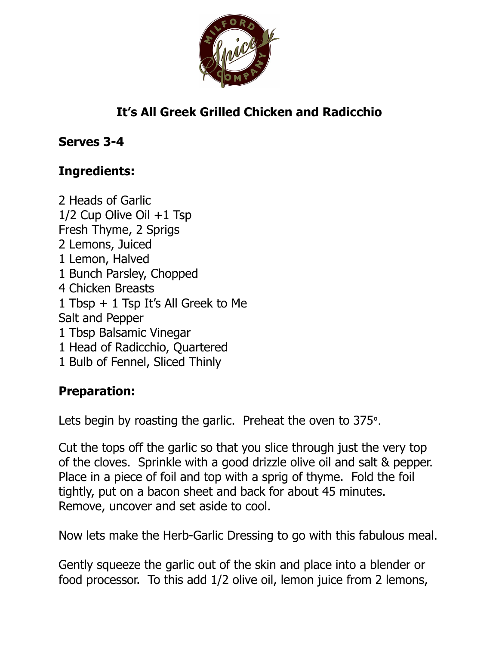

## **It's All Greek Grilled Chicken and Radicchio**

## **Serves 3-4**

## **Ingredients:**

2 Heads of Garlic 1/2 Cup Olive Oil +1 Tsp Fresh Thyme, 2 Sprigs 2 Lemons, Juiced 1 Lemon, Halved 1 Bunch Parsley, Chopped 4 Chicken Breasts 1 Tbsp + 1 Tsp It's All Greek to Me Salt and Pepper 1 Tbsp Balsamic Vinegar 1 Head of Radicchio, Quartered 1 Bulb of Fennel, Sliced Thinly

## **Preparation:**

Lets begin by roasting the garlic. Preheat the oven to 375º.

Cut the tops off the garlic so that you slice through just the very top of the cloves. Sprinkle with a good drizzle olive oil and salt & pepper. Place in a piece of foil and top with a sprig of thyme. Fold the foil tightly, put on a bacon sheet and back for about 45 minutes. Remove, uncover and set aside to cool.

Now lets make the Herb-Garlic Dressing to go with this fabulous meal.

Gently squeeze the garlic out of the skin and place into a blender or food processor. To this add 1/2 olive oil, lemon juice from 2 lemons,